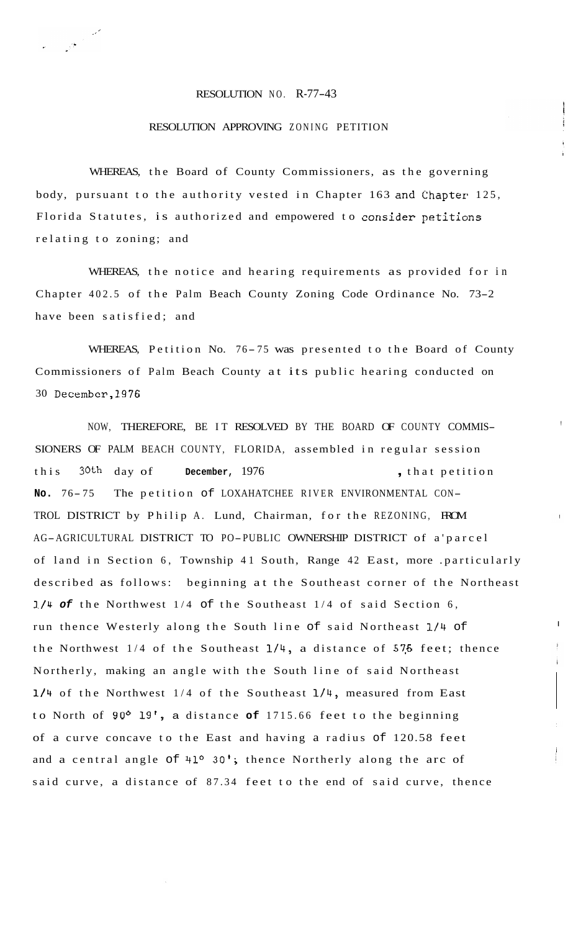## RESOLUTION NO. R-77-43

## RESOLUTION APPROVING ZONING PETITION

WHEREAS, the Board of County Commissioners, as the governing body, pursuant to the authority vested in Chapter 163 and Chapter 125, Florida Statutes, is authorized and empowered to consider petitions relating to zoning; and

WHEREAS, the notice and hearing requirements as provided for in Chapter 402.5 of the Palm Beach County Zoning Code Ordinance No. 73-2 have been satisfied; and

WHEREAS, Petition No. 76-75 was presented to the Board of County Commissioners of Palm Beach County at its public hearing conducted on 30 December,l976

!

I

NOW, THEREFORE, BE IT RESOLVED BY THE BOARD OF COUNTY COMMIS-SIONERS OF PALM BEACH COUNTY, FLORIDA, assembled in regular session this 30<sup>th</sup> day of **December,** 1976 **... ... ... ... ... ... ... ... ...** that petition **No.** 76- 75 The petition of LOXAHATCHEE RIVER ENVIRONMENTAL CON-TROL DISTRICT by Philip A. Lund, Chairman, for the REZONING, FROM AG-AGRICULTURAL DISTRICT TO PO-PUBLIC OWNERSHIP DISTRICT of a'parcel of land in Section 6, Township 41 South, Range 42 East, more .particularly described as follows: beginning at the Southeast corner of the Northeast **1/4** *of* the Northwest 1/4 of the Southeast 1/4 of said Section 6, run thence Westerly along the South line of said Northeast 1/4 of the Northwest  $1/4$  of the Southeast  $1/4$ , a distance of 575 feet; thence Northerly, making an angle with the South line of said Northeast **1/4** of the Northwest 1/4 of the Southeast **1/4,** measured from East to North of **90°** 19', a distance **of** 1715.66 feet to the beginning of a curve concave to the East and having a radius of 120.58 feet and a central angle of 41° 30'; thence Northerly along the arc of said curve, a distance of 87.34 feet to the end of said curve, thence